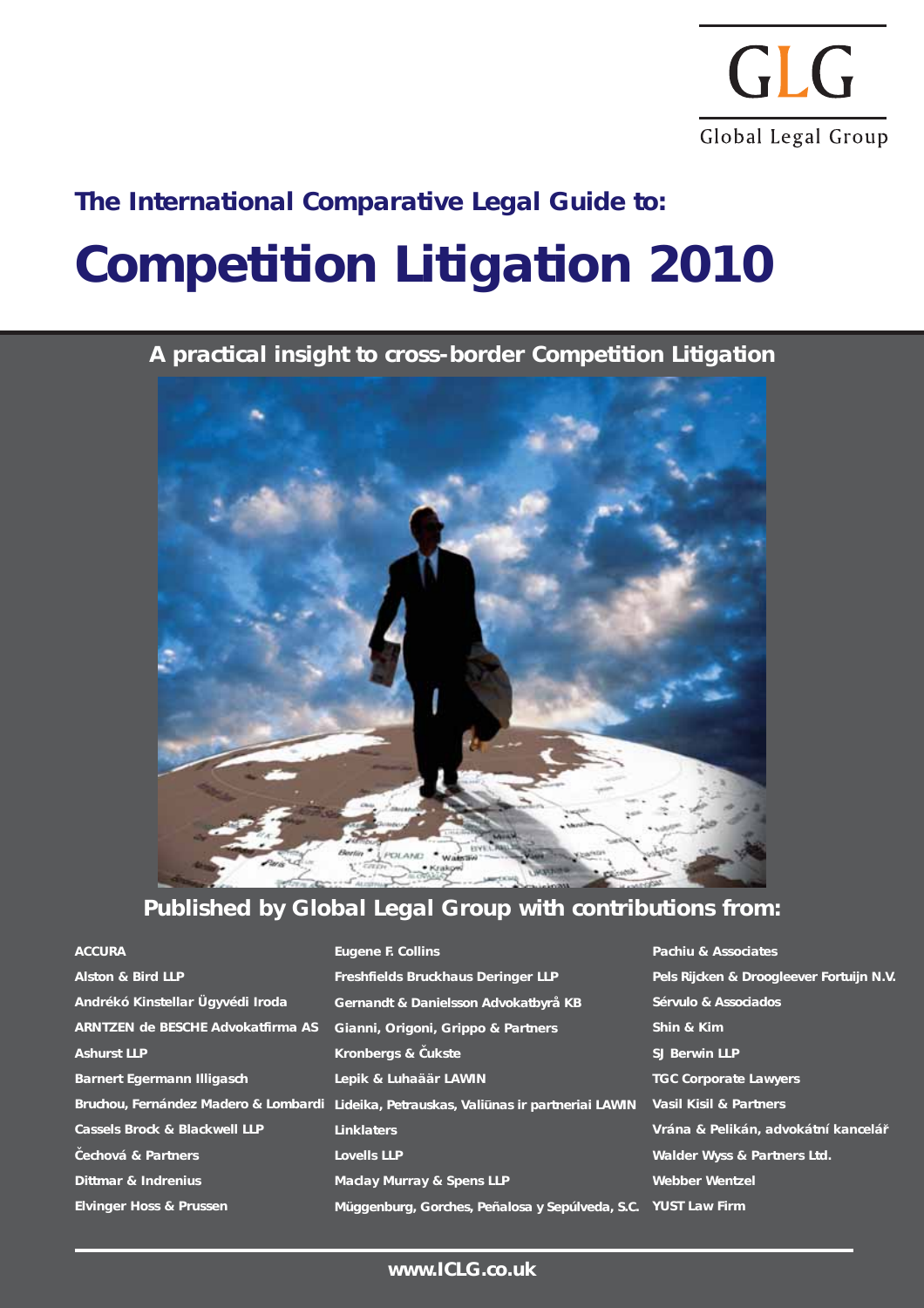

## **Competition Litigation 2010 The International Comparative Legal Guide to:**

**A practical insight to cross-border Competition Litigation** 



## **Published by Global Legal Group with contributions from:**

| <b>ACCURA</b>                            | Eugene F. Collins                                                                      | Pachiu & Associates                      |
|------------------------------------------|----------------------------------------------------------------------------------------|------------------------------------------|
| <b>Alston &amp; Bird LLP</b>             | <b>Freshfields Bruckhaus Deringer LLP</b>                                              | Pels Rijcken & Droogleever Fortuijn N.V. |
| Andrékó Kinstellar Ügyvédi Iroda         | Gernandt & Danielsson Advokatbyrå KB                                                   | Sérvulo & Associados                     |
| ARNTZEN de BESCHE Advokatfirma AS        | Gianni, Origoni, Grippo & Partners                                                     | Shin & Kim                               |
| <b>Ashurst LLP</b>                       | Kronbergs & Cukste                                                                     | <b>SJ Berwin LLP</b>                     |
| <b>Barnert Egermann Illigasch</b>        | Lepik & Luhaäär LAWIN                                                                  | <b>TGC Corporate Lawyers</b>             |
|                                          | Bruchou, Fernández Madero & Lombardi Lideika, Petrauskas, Valiūnas ir partneriai LAWIN | <b>Vasil Kisil &amp; Partners</b>        |
| <b>Cassels Brock &amp; Blackwell LLP</b> | <b>Linklaters</b>                                                                      | Vrána & Pelikán, advokátní kancelář      |
| Cechová & Partners                       | <b>Lovells LLP</b>                                                                     | Walder Wyss & Partners Ltd.              |
| <b>Dittmar &amp; Indrenius</b>           | <b>Maclay Murray &amp; Spens LLP</b>                                                   | <b>Webber Wentzel</b>                    |
| <b>Elvinger Hoss &amp; Prussen</b>       | Müggenburg, Gorches, Peñalosa y Sepúlveda, S.C. YUST Law Firm                          |                                          |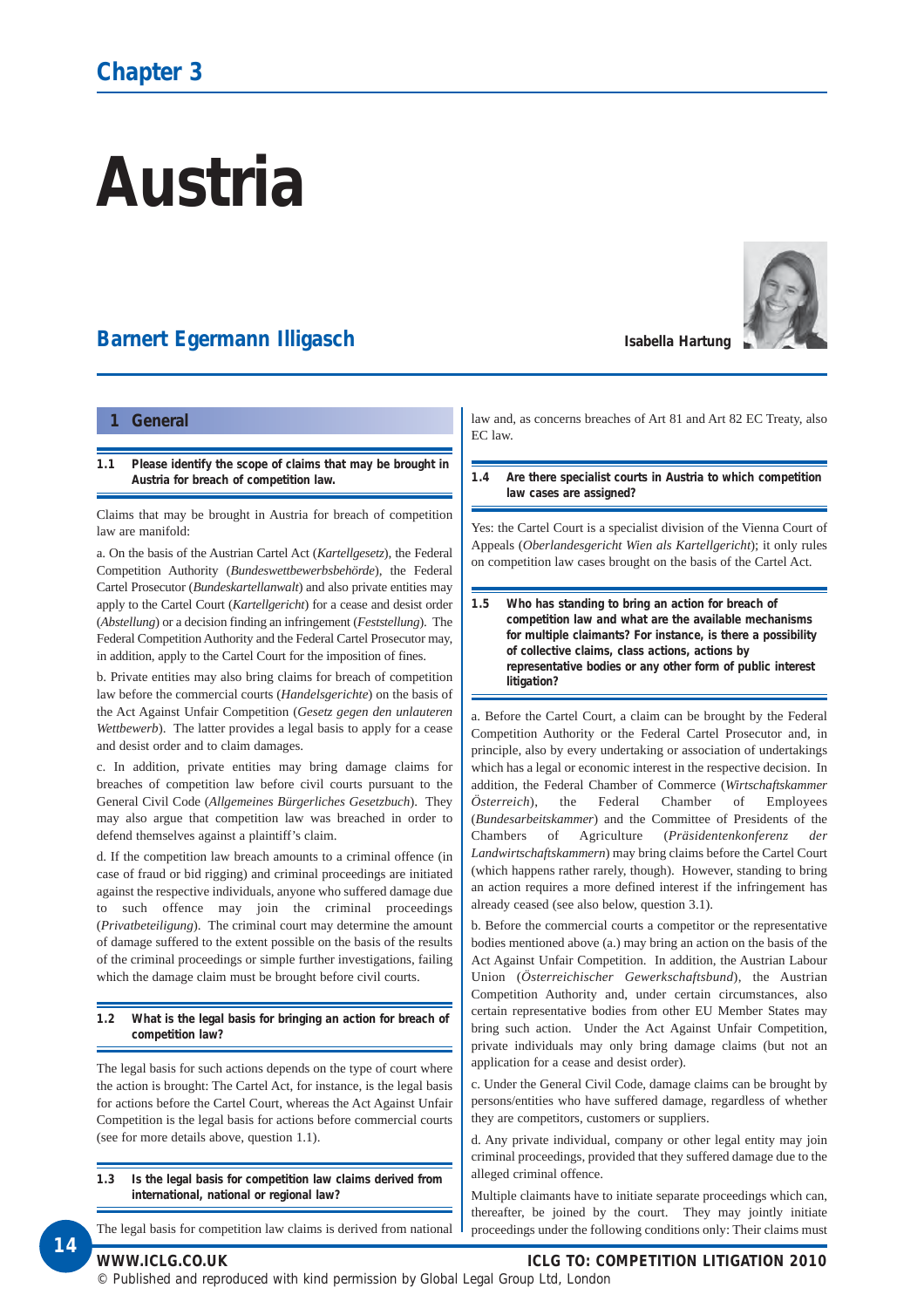# **Austria**

### **Barnert Egermann Illigasch**



#### **1 General**

**1.1 Please identify the scope of claims that may be brought in Austria for breach of competition law.**

Claims that may be brought in Austria for breach of competition law are manifold:

a. On the basis of the Austrian Cartel Act (*Kartellgesetz*), the Federal Competition Authority (*Bundeswettbewerbsbehörde*), the Federal Cartel Prosecutor (*Bundeskartellanwalt*) and also private entities may apply to the Cartel Court (*Kartellgericht*) for a cease and desist order (*Abstellung*) or a decision finding an infringement (*Feststellung*). The Federal Competition Authority and the Federal Cartel Prosecutor may, in addition, apply to the Cartel Court for the imposition of fines.

b. Private entities may also bring claims for breach of competition law before the commercial courts (*Handelsgerichte*) on the basis of the Act Against Unfair Competition (*Gesetz gegen den unlauteren Wettbewerb*). The latter provides a legal basis to apply for a cease and desist order and to claim damages.

c. In addition, private entities may bring damage claims for breaches of competition law before civil courts pursuant to the General Civil Code (*Allgemeines Bürgerliches Gesetzbuch*). They may also argue that competition law was breached in order to defend themselves against a plaintiff's claim.

d. If the competition law breach amounts to a criminal offence (in case of fraud or bid rigging) and criminal proceedings are initiated against the respective individuals, anyone who suffered damage due to such offence may join the criminal proceedings (*Privatbeteiligung*). The criminal court may determine the amount of damage suffered to the extent possible on the basis of the results of the criminal proceedings or simple further investigations, failing which the damage claim must be brought before civil courts.

#### **1.2 What is the legal basis for bringing an action for breach of competition law?**

The legal basis for such actions depends on the type of court where the action is brought: The Cartel Act, for instance, is the legal basis for actions before the Cartel Court, whereas the Act Against Unfair Competition is the legal basis for actions before commercial courts (see for more details above, question 1.1).

**1.3 Is the legal basis for competition law claims derived from international, national or regional law?**

The legal basis for competition law claims is derived from national

law and, as concerns breaches of Art 81 and Art 82 EC Treaty, also EC law.

**1.4 Are there specialist courts in Austria to which competition law cases are assigned?** 

Yes: the Cartel Court is a specialist division of the Vienna Court of Appeals (*Oberlandesgericht Wien als Kartellgericht*); it only rules on competition law cases brought on the basis of the Cartel Act.

**1.5 Who has standing to bring an action for breach of competition law and what are the available mechanisms for multiple claimants? For instance, is there a possibility of collective claims, class actions, actions by representative bodies or any other form of public interest litigation?** 

a. Before the Cartel Court, a claim can be brought by the Federal Competition Authority or the Federal Cartel Prosecutor and, in principle, also by every undertaking or association of undertakings which has a legal or economic interest in the respective decision. In addition, the Federal Chamber of Commerce (*Wirtschaftskammer Österreich*), the Federal Chamber of Employees (*Bundesarbeitskammer*) and the Committee of Presidents of the Chambers of Agriculture (*Präsidentenkonferenz der Landwirtschaftskammern*) may bring claims before the Cartel Court (which happens rather rarely, though). However, standing to bring an action requires a more defined interest if the infringement has already ceased (see also below, question 3.1).

b. Before the commercial courts a competitor or the representative bodies mentioned above (a.) may bring an action on the basis of the Act Against Unfair Competition. In addition, the Austrian Labour Union (*Österreichischer Gewerkschaftsbund*), the Austrian Competition Authority and, under certain circumstances, also certain representative bodies from other EU Member States may bring such action. Under the Act Against Unfair Competition, private individuals may only bring damage claims (but not an application for a cease and desist order).

c. Under the General Civil Code, damage claims can be brought by persons/entities who have suffered damage, regardless of whether they are competitors, customers or suppliers.

d. Any private individual, company or other legal entity may join criminal proceedings, provided that they suffered damage due to the alleged criminal offence.

Multiple claimants have to initiate separate proceedings which can, thereafter, be joined by the court. They may jointly initiate proceedings under the following conditions only: Their claims must

**14**

**WWW.ICLG.CO.UK ICLG TO: COMPETITION LITIGATION 2010**

© Published and reproduced with kind permission by Global Legal Group Ltd, London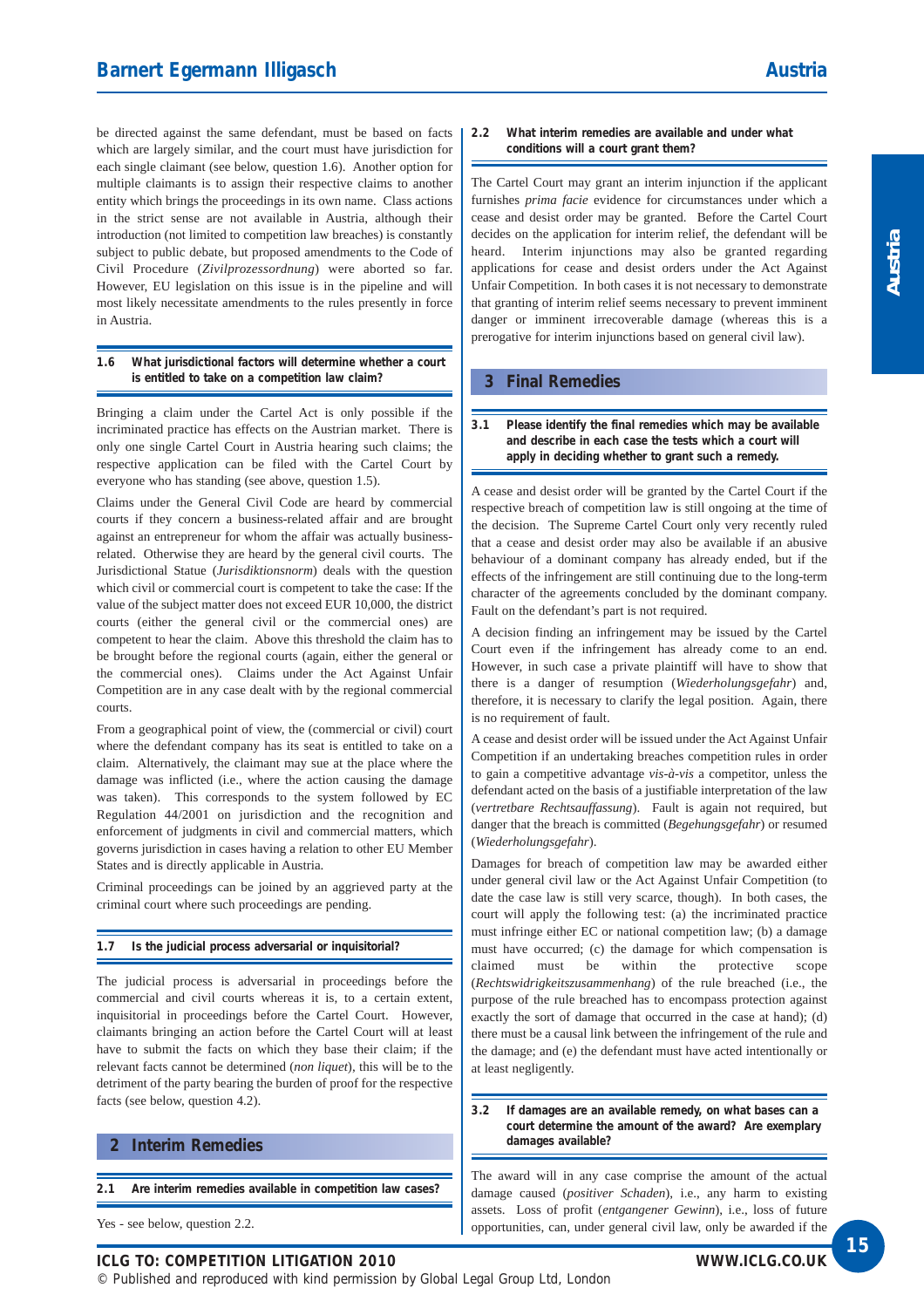be directed against the same defendant, must be based on facts which are largely similar, and the court must have jurisdiction for each single claimant (see below, question 1.6). Another option for multiple claimants is to assign their respective claims to another entity which brings the proceedings in its own name. Class actions in the strict sense are not available in Austria, although their introduction (not limited to competition law breaches) is constantly subject to public debate, but proposed amendments to the Code of Civil Procedure (*Zivilprozessordnung*) were aborted so far. However, EU legislation on this issue is in the pipeline and will most likely necessitate amendments to the rules presently in force in Austria.

#### **1.6 What jurisdictional factors will determine whether a court is entitled to take on a competition law claim?**

Bringing a claim under the Cartel Act is only possible if the incriminated practice has effects on the Austrian market. There is only one single Cartel Court in Austria hearing such claims; the respective application can be filed with the Cartel Court by everyone who has standing (see above, question 1.5).

Claims under the General Civil Code are heard by commercial courts if they concern a business-related affair and are brought against an entrepreneur for whom the affair was actually businessrelated. Otherwise they are heard by the general civil courts. The Jurisdictional Statue (*Jurisdiktionsnorm*) deals with the question which civil or commercial court is competent to take the case: If the value of the subject matter does not exceed EUR 10,000, the district courts (either the general civil or the commercial ones) are competent to hear the claim. Above this threshold the claim has to be brought before the regional courts (again, either the general or the commercial ones). Claims under the Act Against Unfair Competition are in any case dealt with by the regional commercial courts.

From a geographical point of view, the (commercial or civil) court where the defendant company has its seat is entitled to take on a claim. Alternatively, the claimant may sue at the place where the damage was inflicted (i.e., where the action causing the damage was taken). This corresponds to the system followed by EC Regulation 44/2001 on jurisdiction and the recognition and enforcement of judgments in civil and commercial matters, which governs jurisdiction in cases having a relation to other EU Member States and is directly applicable in Austria.

Criminal proceedings can be joined by an aggrieved party at the criminal court where such proceedings are pending.

#### **1.7 Is the judicial process adversarial or inquisitorial?**

The judicial process is adversarial in proceedings before the commercial and civil courts whereas it is, to a certain extent, inquisitorial in proceedings before the Cartel Court. However, claimants bringing an action before the Cartel Court will at least have to submit the facts on which they base their claim; if the relevant facts cannot be determined (*non liquet*), this will be to the detriment of the party bearing the burden of proof for the respective facts (see below, question 4.2).

#### **2 Interim Remedies**

**2.1 Are interim remedies available in competition law cases?**

Yes - see below, question 2.2.

#### **2.2 What interim remedies are available and under what conditions will a court grant them?**

The Cartel Court may grant an interim injunction if the applicant furnishes *prima facie* evidence for circumstances under which a cease and desist order may be granted. Before the Cartel Court decides on the application for interim relief, the defendant will be heard. Interim injunctions may also be granted regarding applications for cease and desist orders under the Act Against Unfair Competition. In both cases it is not necessary to demonstrate that granting of interim relief seems necessary to prevent imminent danger or imminent irrecoverable damage (whereas this is a prerogative for interim injunctions based on general civil law).

#### **3 Final Remedies**

#### **3.1 Please identify the final remedies which may be available and describe in each case the tests which a court will apply in deciding whether to grant such a remedy.**

A cease and desist order will be granted by the Cartel Court if the respective breach of competition law is still ongoing at the time of the decision. The Supreme Cartel Court only very recently ruled that a cease and desist order may also be available if an abusive behaviour of a dominant company has already ended, but if the effects of the infringement are still continuing due to the long-term character of the agreements concluded by the dominant company. Fault on the defendant's part is not required.

A decision finding an infringement may be issued by the Cartel Court even if the infringement has already come to an end. However, in such case a private plaintiff will have to show that there is a danger of resumption (*Wiederholungsgefahr*) and, therefore, it is necessary to clarify the legal position. Again, there is no requirement of fault.

A cease and desist order will be issued under the Act Against Unfair Competition if an undertaking breaches competition rules in order to gain a competitive advantage *vis-à-vis* a competitor, unless the defendant acted on the basis of a justifiable interpretation of the law (*vertretbare Rechtsauffassung*). Fault is again not required, but danger that the breach is committed (*Begehungsgefahr*) or resumed (*Wiederholungsgefahr*).

Damages for breach of competition law may be awarded either under general civil law or the Act Against Unfair Competition (to date the case law is still very scarce, though). In both cases, the court will apply the following test: (a) the incriminated practice must infringe either EC or national competition law; (b) a damage must have occurred; (c) the damage for which compensation is claimed must be within the protective scope (*Rechtswidrigkeitszusammenhang*) of the rule breached (i.e., the purpose of the rule breached has to encompass protection against exactly the sort of damage that occurred in the case at hand); (d) there must be a causal link between the infringement of the rule and the damage; and (e) the defendant must have acted intentionally or at least negligently.

#### **3.2 If damages are an available remedy, on what bases can a court determine the amount of the award? Are exemplary damages available?**

The award will in any case comprise the amount of the actual damage caused (*positiver Schaden*), i.e., any harm to existing assets. Loss of profit (*entgangener Gewinn*), i.e., loss of future opportunities, can, under general civil law, only be awarded if the

**ICLG TO: COMPETITION LITIGATION 2010**

© Published and reproduced with kind permission by Global Legal Group Ltd, London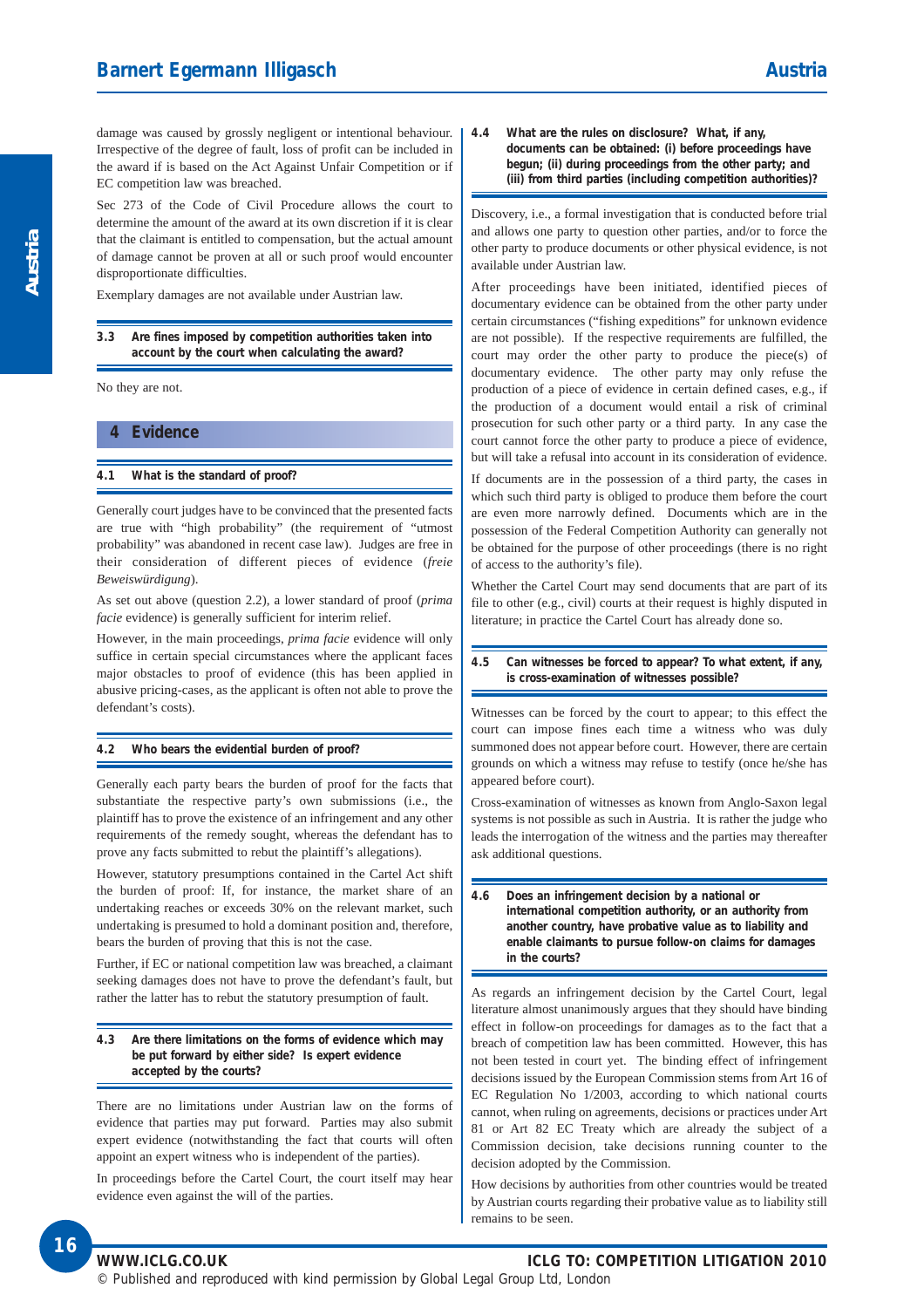damage was caused by grossly negligent or intentional behaviour. Irrespective of the degree of fault, loss of profit can be included in the award if is based on the Act Against Unfair Competition or if EC competition law was breached.

Sec 273 of the Code of Civil Procedure allows the court to determine the amount of the award at its own discretion if it is clear that the claimant is entitled to compensation, but the actual amount of damage cannot be proven at all or such proof would encounter disproportionate difficulties.

Exemplary damages are not available under Austrian law.

#### **3.3 Are fines imposed by competition authorities taken into account by the court when calculating the award?**

No they are not.

#### **4 Evidence**

#### **4.1 What is the standard of proof?**

Generally court judges have to be convinced that the presented facts are true with "high probability" (the requirement of "utmost probability" was abandoned in recent case law). Judges are free in their consideration of different pieces of evidence (*freie Beweiswürdigung*).

As set out above (question 2.2), a lower standard of proof (*prima facie* evidence) is generally sufficient for interim relief.

However, in the main proceedings, *prima facie* evidence will only suffice in certain special circumstances where the applicant faces major obstacles to proof of evidence (this has been applied in abusive pricing-cases, as the applicant is often not able to prove the defendant's costs).

#### **4.2 Who bears the evidential burden of proof?**

Generally each party bears the burden of proof for the facts that substantiate the respective party's own submissions (i.e., the plaintiff has to prove the existence of an infringement and any other requirements of the remedy sought, whereas the defendant has to prove any facts submitted to rebut the plaintiff's allegations).

However, statutory presumptions contained in the Cartel Act shift the burden of proof: If, for instance, the market share of an undertaking reaches or exceeds 30% on the relevant market, such undertaking is presumed to hold a dominant position and, therefore, bears the burden of proving that this is not the case.

Further, if EC or national competition law was breached, a claimant seeking damages does not have to prove the defendant's fault, but rather the latter has to rebut the statutory presumption of fault.

#### **4.3 Are there limitations on the forms of evidence which may be put forward by either side? Is expert evidence accepted by the courts?**

There are no limitations under Austrian law on the forms of evidence that parties may put forward. Parties may also submit expert evidence (notwithstanding the fact that courts will often appoint an expert witness who is independent of the parties).

In proceedings before the Cartel Court, the court itself may hear evidence even against the will of the parties.

**4.4 What are the rules on disclosure? What, if any, documents can be obtained: (i) before proceedings have begun; (ii) during proceedings from the other party; and (iii) from third parties (including competition authorities)?**

Discovery, i.e., a formal investigation that is conducted before trial and allows one party to question other parties, and/or to force the other party to produce documents or other physical evidence, is not available under Austrian law.

After proceedings have been initiated, identified pieces of documentary evidence can be obtained from the other party under certain circumstances ("fishing expeditions" for unknown evidence are not possible). If the respective requirements are fulfilled, the court may order the other party to produce the piece(s) of documentary evidence. The other party may only refuse the production of a piece of evidence in certain defined cases, e.g., if the production of a document would entail a risk of criminal prosecution for such other party or a third party. In any case the court cannot force the other party to produce a piece of evidence, but will take a refusal into account in its consideration of evidence.

If documents are in the possession of a third party, the cases in which such third party is obliged to produce them before the court are even more narrowly defined. Documents which are in the possession of the Federal Competition Authority can generally not be obtained for the purpose of other proceedings (there is no right of access to the authority's file).

Whether the Cartel Court may send documents that are part of its file to other (e.g., civil) courts at their request is highly disputed in literature; in practice the Cartel Court has already done so.

#### **4.5 Can witnesses be forced to appear? To what extent, if any, is cross-examination of witnesses possible?**

Witnesses can be forced by the court to appear; to this effect the court can impose fines each time a witness who was duly summoned does not appear before court. However, there are certain grounds on which a witness may refuse to testify (once he/she has appeared before court).

Cross-examination of witnesses as known from Anglo-Saxon legal systems is not possible as such in Austria. It is rather the judge who leads the interrogation of the witness and the parties may thereafter ask additional questions.

#### **4.6 Does an infringement decision by a national or international competition authority, or an authority from another country, have probative value as to liability and enable claimants to pursue follow-on claims for damages in the courts?**

As regards an infringement decision by the Cartel Court, legal literature almost unanimously argues that they should have binding effect in follow-on proceedings for damages as to the fact that a breach of competition law has been committed. However, this has not been tested in court yet. The binding effect of infringement decisions issued by the European Commission stems from Art 16 of EC Regulation No 1/2003, according to which national courts cannot, when ruling on agreements, decisions or practices under Art 81 or Art 82 EC Treaty which are already the subject of a Commission decision, take decisions running counter to the decision adopted by the Commission.

How decisions by authorities from other countries would be treated by Austrian courts regarding their probative value as to liability still remains to be seen.

#### **WWW.ICLG.CO.UK ICLG TO: COMPETITION LITIGATION 2010**

© Published and reproduced with kind permission by Global Legal Group Ltd, London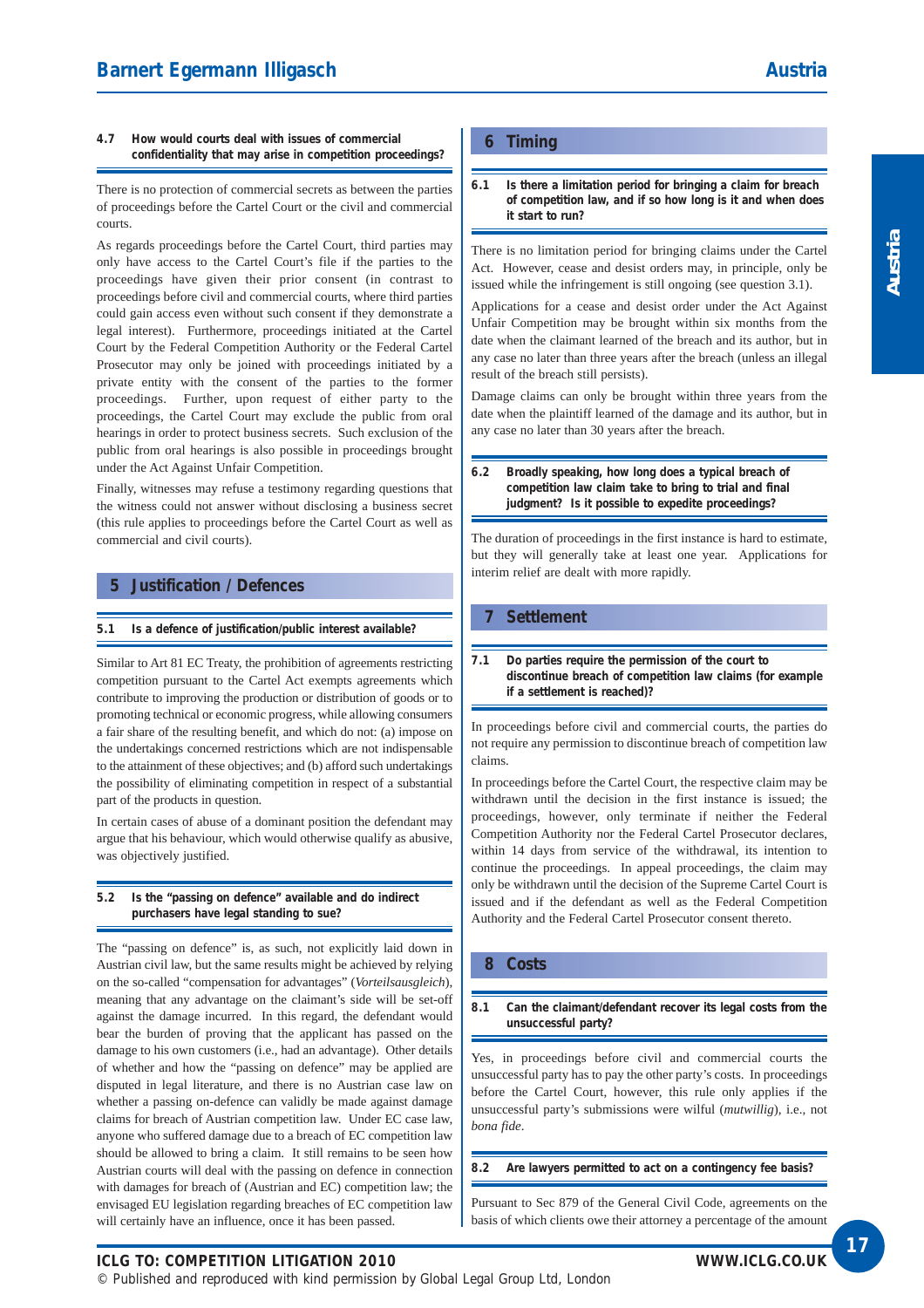#### **4.7 How would courts deal with issues of commercial confidentiality that may arise in competition proceedings?**

There is no protection of commercial secrets as between the parties of proceedings before the Cartel Court or the civil and commercial courts.

As regards proceedings before the Cartel Court, third parties may only have access to the Cartel Court's file if the parties to the proceedings have given their prior consent (in contrast to proceedings before civil and commercial courts, where third parties could gain access even without such consent if they demonstrate a legal interest). Furthermore, proceedings initiated at the Cartel Court by the Federal Competition Authority or the Federal Cartel Prosecutor may only be joined with proceedings initiated by a private entity with the consent of the parties to the former proceedings. Further, upon request of either party to the proceedings, the Cartel Court may exclude the public from oral hearings in order to protect business secrets. Such exclusion of the public from oral hearings is also possible in proceedings brought under the Act Against Unfair Competition.

Finally, witnesses may refuse a testimony regarding questions that the witness could not answer without disclosing a business secret (this rule applies to proceedings before the Cartel Court as well as commercial and civil courts).

#### **5 Justification / Defences**

#### **5.1 Is a defence of justification/public interest available?**

Similar to Art 81 EC Treaty, the prohibition of agreements restricting competition pursuant to the Cartel Act exempts agreements which contribute to improving the production or distribution of goods or to promoting technical or economic progress, while allowing consumers a fair share of the resulting benefit, and which do not: (a) impose on the undertakings concerned restrictions which are not indispensable to the attainment of these objectives; and (b) afford such undertakings the possibility of eliminating competition in respect of a substantial part of the products in question.

In certain cases of abuse of a dominant position the defendant may argue that his behaviour, which would otherwise qualify as abusive, was objectively justified.

#### **5.2 Is the "passing on defence" available and do indirect purchasers have legal standing to sue?**

The "passing on defence" is, as such, not explicitly laid down in Austrian civil law, but the same results might be achieved by relying on the so-called "compensation for advantages" (*Vorteilsausgleich*), meaning that any advantage on the claimant's side will be set-off against the damage incurred. In this regard, the defendant would bear the burden of proving that the applicant has passed on the damage to his own customers (i.e., had an advantage). Other details of whether and how the "passing on defence" may be applied are disputed in legal literature, and there is no Austrian case law on whether a passing on-defence can validly be made against damage claims for breach of Austrian competition law. Under EC case law, anyone who suffered damage due to a breach of EC competition law should be allowed to bring a claim. It still remains to be seen how Austrian courts will deal with the passing on defence in connection with damages for breach of (Austrian and EC) competition law; the envisaged EU legislation regarding breaches of EC competition law will certainly have an influence, once it has been passed.

#### **6 Timing**

**6.1 Is there a limitation period for bringing a claim for breach of competition law, and if so how long is it and when does it start to run?**

There is no limitation period for bringing claims under the Cartel Act. However, cease and desist orders may, in principle, only be issued while the infringement is still ongoing (see question 3.1).

Applications for a cease and desist order under the Act Against Unfair Competition may be brought within six months from the date when the claimant learned of the breach and its author, but in any case no later than three years after the breach (unless an illegal result of the breach still persists).

Damage claims can only be brought within three years from the date when the plaintiff learned of the damage and its author, but in any case no later than 30 years after the breach.

**6.2 Broadly speaking, how long does a typical breach of competition law claim take to bring to trial and final judgment? Is it possible to expedite proceedings?**

The duration of proceedings in the first instance is hard to estimate, but they will generally take at least one year. Applications for interim relief are dealt with more rapidly.

#### **7 Settlement**

**7.1 Do parties require the permission of the court to discontinue breach of competition law claims (for example if a settlement is reached)?**

In proceedings before civil and commercial courts, the parties do not require any permission to discontinue breach of competition law claims.

In proceedings before the Cartel Court, the respective claim may be withdrawn until the decision in the first instance is issued; the proceedings, however, only terminate if neither the Federal Competition Authority nor the Federal Cartel Prosecutor declares, within 14 days from service of the withdrawal, its intention to continue the proceedings. In appeal proceedings, the claim may only be withdrawn until the decision of the Supreme Cartel Court is issued and if the defendant as well as the Federal Competition Authority and the Federal Cartel Prosecutor consent thereto.

#### **8 Costs**

#### **8.1 Can the claimant/defendant recover its legal costs from the unsuccessful party?**

Yes, in proceedings before civil and commercial courts the unsuccessful party has to pay the other party's costs. In proceedings before the Cartel Court, however, this rule only applies if the unsuccessful party's submissions were wilful (*mutwillig*), i.e., not *bona fide*.

**8.2 Are lawyers permitted to act on a contingency fee basis?**

Pursuant to Sec 879 of the General Civil Code, agreements on the basis of which clients owe their attorney a percentage of the amount

**ICLG TO: COMPETITION LITIGATION 2010** © Published and reproduced with kind permission by Global Legal Group Ltd, London